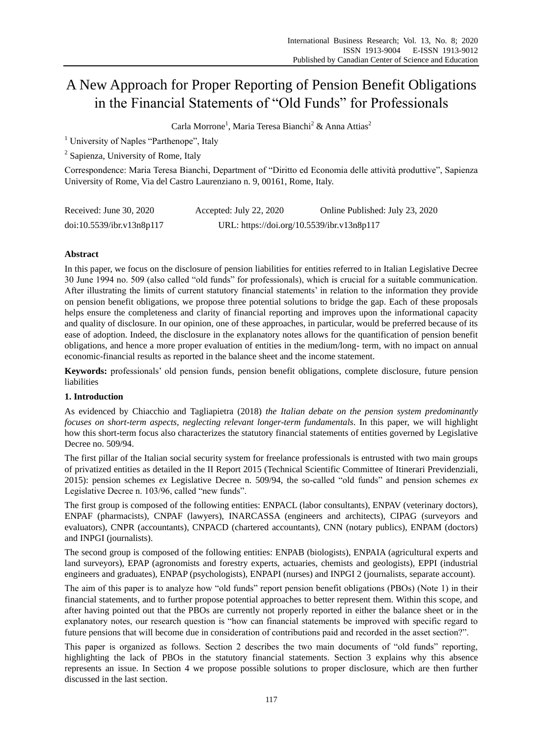# A New Approach for Proper Reporting of Pension Benefit Obligations in the Financial Statements of "Old Funds" for Professionals

Carla Morrone<sup>1</sup>, Maria Teresa Bianchi<sup>2</sup> & Anna Attias<sup>2</sup>

<sup>1</sup> University of Naples "Parthenope", Italy

<sup>2</sup> Sapienza, University of Rome, Italy

Correspondence: Maria Teresa Bianchi, Department of "Diritto ed Economia delle attività produttive", Sapienza University of Rome, Via del Castro Laurenziano n. 9, 00161, Rome, Italy.

| Received: June $30, 2020$ | Accepted: July 22, 2020                    | Online Published: July 23, 2020 |
|---------------------------|--------------------------------------------|---------------------------------|
| doi:10.5539/ibr.v13n8p117 | URL: https://doi.org/10.5539/ibr.v13n8p117 |                                 |

## **Abstract**

In this paper, we focus on the disclosure of pension liabilities for entities referred to in Italian Legislative Decree 30 June 1994 no. 509 (also called "old funds" for professionals), which is crucial for a suitable communication. After illustrating the limits of current statutory financial statements" in relation to the information they provide on pension benefit obligations, we propose three potential solutions to bridge the gap. Each of these proposals helps ensure the completeness and clarity of financial reporting and improves upon the informational capacity and quality of disclosure. In our opinion, one of these approaches, in particular, would be preferred because of its ease of adoption. Indeed, the disclosure in the explanatory notes allows for the quantification of pension benefit obligations, and hence a more proper evaluation of entities in the medium/long- term, with no impact on annual economic-financial results as reported in the balance sheet and the income statement.

**Keywords:** professionals" old pension funds, pension benefit obligations, complete disclosure, future pension liabilities

### **1. Introduction**

As evidenced by Chiacchio and Tagliapietra (2018) *the Italian debate on the pension system predominantly focuses on short-term aspects, neglecting relevant longer-term fundamentals*. In this paper, we will highlight how this short-term focus also characterizes the statutory financial statements of entities governed by Legislative Decree no. 509/94.

The first pillar of the Italian social security system for freelance professionals is entrusted with two main groups of privatized entities as detailed in the II Report 2015 (Technical Scientific Committee of Itinerari Previdenziali, 2015): pension schemes *ex* Legislative Decree n. 509/94, the so-called "old funds" and pension schemes *ex* Legislative Decree n. 103/96, called "new funds".

The first group is composed of the following entities: ENPACL (labor consultants), ENPAV (veterinary doctors), ENPAF (pharmacists), CNPAF (lawyers), INARCASSA (engineers and architects), CIPAG (surveyors and evaluators), CNPR (accountants), CNPACD (chartered accountants), CNN (notary publics), ENPAM (doctors) and INPGI (journalists).

The second group is composed of the following entities: ENPAB (biologists), ENPAIA (agricultural experts and land surveyors), EPAP (agronomists and forestry experts, actuaries, chemists and geologists), EPPI (industrial engineers and graduates), ENPAP (psychologists), ENPAPI (nurses) and INPGI 2 (journalists, separate account).

The aim of this paper is to analyze how "old funds" report pension benefit obligations (PBOs) (Note 1) in their financial statements, and to further propose potential approaches to better represent them. Within this scope, and after having pointed out that the PBOs are currently not properly reported in either the balance sheet or in the explanatory notes, our research question is "how can financial statements be improved with specific regard to future pensions that will become due in consideration of contributions paid and recorded in the asset section?".

This paper is organized as follows. Section 2 describes the two main documents of "old funds" reporting, highlighting the lack of PBOs in the statutory financial statements. Section 3 explains why this absence represents an issue. In Section 4 we propose possible solutions to proper disclosure, which are then further discussed in the last section.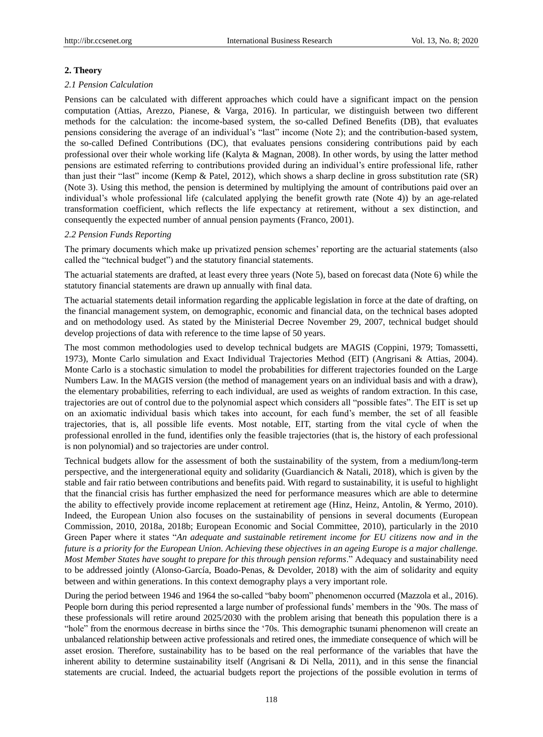#### **2. Theory**

#### *2.1 Pension Calculation*

Pensions can be calculated with different approaches which could have a significant impact on the pension computation (Attias, Arezzo, Pianese, & Varga, 2016). In particular, we distinguish between two different methods for the calculation: the income-based system, the so-called Defined Benefits (DB), that evaluates pensions considering the average of an individual"s "last" income (Note 2); and the contribution-based system, the so-called Defined Contributions (DC), that evaluates pensions considering contributions paid by each professional over their whole working life (Kalyta & Magnan, 2008). In other words, by using the latter method pensions are estimated referring to contributions provided during an individual"s entire professional life, rather than just their "last" income (Kemp & Patel, 2012), which shows a sharp decline in gross substitution rate (SR) (Note 3). Using this method, the pension is determined by multiplying the amount of contributions paid over an individual"s whole professional life (calculated applying the benefit growth rate (Note 4)) by an age-related transformation coefficient, which reflects the life expectancy at retirement, without a sex distinction, and consequently the expected number of annual pension payments (Franco, 2001).

#### *2.2 Pension Funds Reporting*

The primary documents which make up privatized pension schemes" reporting are the actuarial statements (also called the "technical budget") and the statutory financial statements.

The actuarial statements are drafted, at least every three years (Note 5), based on forecast data (Note 6) while the statutory financial statements are drawn up annually with final data.

The actuarial statements detail information regarding the applicable legislation in force at the date of drafting, on the financial management system, on demographic, economic and financial data, on the technical bases adopted and on methodology used. As stated by the Ministerial Decree November 29, 2007, technical budget should develop projections of data with reference to the time lapse of 50 years.

The most common methodologies used to develop technical budgets are MAGIS (Coppini, 1979; Tomassetti, 1973), Monte Carlo simulation and Exact Individual Trajectories Method (EIT) (Angrisani & Attias, 2004). Monte Carlo is a stochastic simulation to model the probabilities for different trajectories founded on the Large Numbers Law. In the MAGIS version (the method of management years on an individual basis and with a draw), the elementary probabilities, referring to each individual, are used as weights of random extraction. In this case, trajectories are out of control due to the polynomial aspect which considers all "possible fates". The EIT is set up on an axiomatic individual basis which takes into account, for each fund"s member, the set of all feasible trajectories, that is, all possible life events. Most notable, EIT, starting from the vital cycle of when the professional enrolled in the fund, identifies only the feasible trajectories (that is, the history of each professional is non polynomial) and so trajectories are under control.

Technical budgets allow for the assessment of both the sustainability of the system, from a medium/long-term perspective, and the intergenerational equity and solidarity (Guardiancich & Natali, 2018), which is given by the stable and fair ratio between contributions and benefits paid. With regard to sustainability, it is useful to highlight that the financial crisis has further emphasized the need for performance measures which are able to determine the ability to effectively provide income replacement at retirement age (Hinz, Heinz, Antolin, & Yermo, 2010). Indeed, the European Union also focuses on the sustainability of pensions in several documents (European Commission, 2010, 2018a, 2018b; European Economic and Social Committee, 2010), particularly in the 2010 Green Paper where it states "*An adequate and sustainable retirement income for EU citizens now and in the future is a priority for the European Union. Achieving these objectives in an ageing Europe is a major challenge. Most Member States have sought to prepare for this through pension reforms*." Adequacy and sustainability need to be addressed jointly (Alonso-García, Boado-Penas, & Devolder, 2018) with the aim of solidarity and equity between and within generations. In this context demography plays a very important role.

During the period between 1946 and 1964 the so-called "baby boom" phenomenon occurred (Mazzola et al., 2016). People born during this period represented a large number of professional funds" members in the "90s. The mass of these professionals will retire around 2025/2030 with the problem arising that beneath this population there is a "hole" from the enormous decrease in births since the "70s. This demographic tsunami phenomenon will create an unbalanced relationship between active professionals and retired ones, the immediate consequence of which will be asset erosion. Therefore, sustainability has to be based on the real performance of the variables that have the inherent ability to determine sustainability itself (Angrisani & Di Nella, 2011), and in this sense the financial statements are crucial. Indeed, the actuarial budgets report the projections of the possible evolution in terms of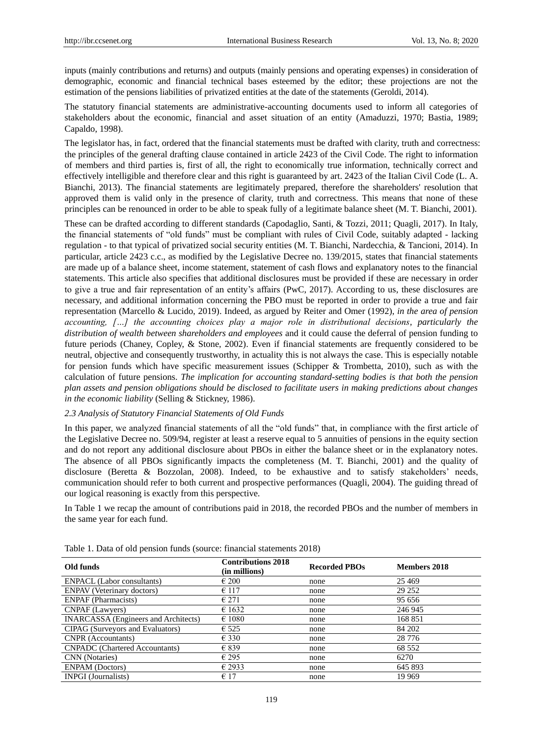inputs (mainly contributions and returns) and outputs (mainly pensions and operating expenses) in consideration of demographic, economic and financial technical bases esteemed by the editor; these projections are not the estimation of the pensions liabilities of privatized entities at the date of the statements (Geroldi, 2014).

The statutory financial statements are administrative-accounting documents used to inform all categories of stakeholders about the economic, financial and asset situation of an entity (Amaduzzi, 1970; Bastia, 1989; Capaldo, 1998).

The legislator has, in fact, ordered that the financial statements must be drafted with clarity, truth and correctness: the principles of the general drafting clause contained in article 2423 of the Civil Code. The right to information of members and third parties is, first of all, the right to economically true information, technically correct and effectively intelligible and therefore clear and this right is guaranteed by art. 2423 of the Italian Civil Code (L. A. Bianchi, 2013). The financial statements are legitimately prepared, therefore the shareholders' resolution that approved them is valid only in the presence of clarity, truth and correctness. This means that none of these principles can be renounced in order to be able to speak fully of a legitimate balance sheet (M. T. Bianchi, 2001).

These can be drafted according to different standards (Capodaglio, Santi, & Tozzi, 2011; Quagli, 2017). In Italy, the financial statements of "old funds" must be compliant with rules of Civil Code, suitably adapted - lacking regulation - to that typical of privatized social security entities (M. T. Bianchi, Nardecchia, & Tancioni, 2014). In particular, article 2423 c.c., as modified by the Legislative Decree no. 139/2015, states that financial statements are made up of a balance sheet, income statement, statement of cash flows and explanatory notes to the financial statements. This article also specifies that additional disclosures must be provided if these are necessary in order to give a true and fair representation of an entity's affairs (PwC, 2017). According to us, these disclosures are necessary, and additional information concerning the PBO must be reported in order to provide a true and fair representation (Marcello & Lucido, 2019). Indeed, as argued by Reiter and Omer (1992), *in the area of pension accounting, […] the accounting choices play a major role in distributional decisions, particularly the distribution of wealth between shareholders and employees* and it could cause the deferral of pension funding to future periods (Chaney, Copley, & Stone, 2002). Even if financial statements are frequently considered to be neutral, objective and consequently trustworthy, in actuality this is not always the case. This is especially notable for pension funds which have specific measurement issues (Schipper & Trombetta, 2010), such as with the calculation of future pensions. *The implication for accounting standard-setting bodies is that both the pension plan assets and pension obligations should be disclosed to facilitate users in making predictions about changes in the economic liability* (Selling & Stickney, 1986).

#### *2.3 Analysis of Statutory Financial Statements of Old Funds*

In this paper, we analyzed financial statements of all the "old funds" that, in compliance with the first article of the Legislative Decree no. 509/94, register at least a reserve equal to 5 annuities of pensions in the equity section and do not report any additional disclosure about PBOs in either the balance sheet or in the explanatory notes. The absence of all PBOs significantly impacts the completeness (M. T. Bianchi, 2001) and the quality of disclosure (Beretta & Bozzolan, 2008). Indeed, to be exhaustive and to satisfy stakeholders" needs, communication should refer to both current and prospective performances (Quagli, 2004). The guiding thread of our logical reasoning is exactly from this perspective.

In Table 1 we recap the amount of contributions paid in 2018, the recorded PBOs and the number of members in the same year for each fund.

| Old funds                                   | <b>Contributions 2018</b><br>(in millions) | <b>Recorded PBOs</b> | Members 2018 |
|---------------------------------------------|--------------------------------------------|----------------------|--------------|
| <b>ENPACL</b> (Labor consultants)           | $\epsilon$ 200                             | none                 | 25 4 69      |
| <b>ENPAV</b> (Veterinary doctors)           | $\epsilon$ 117                             | none                 | 29 25 2      |
| <b>ENPAF</b> (Pharmacists)                  | $\epsilon$ 271                             | none                 | 95 656       |
| CNPAF (Lawyers)                             | $\epsilon$ 1632                            | none                 | 246 945      |
| <b>INARCASSA</b> (Engineers and Architects) | $\epsilon$ 1080                            | none                 | 168 851      |
| <b>CIPAG</b> (Surveyors and Evaluators)     | $\epsilon$ 525                             | none                 | 84 202       |
| <b>CNPR</b> (Accountants)                   | $\epsilon$ 330                             | none                 | 28 7 7 6     |
| <b>CNPADC</b> (Chartered Accountants)       | $\epsilon$ 839                             | none                 | 68 5 52      |
| CNN (Notaries)                              | $\epsilon$ 295                             | none                 | 6270         |
| <b>ENPAM</b> (Doctors)                      | $\epsilon$ 2933                            | none                 | 645 893      |
| <b>INPGI</b> (Journalists)                  | $\epsilon$ 17                              | none                 | 19 9 69      |

Table 1. Data of old pension funds (source: financial statements 2018)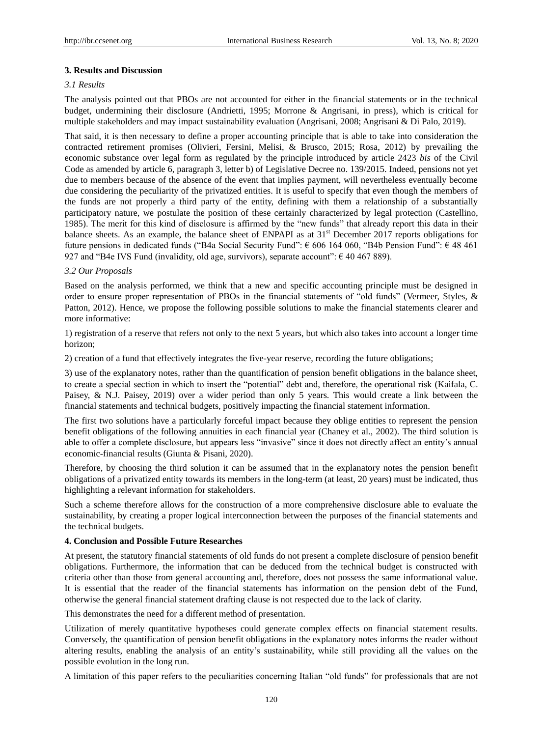#### **3. Results and Discussion**

#### *3.1 Results*

The analysis pointed out that PBOs are not accounted for either in the financial statements or in the technical budget, undermining their disclosure (Andrietti, 1995; Morrone & Angrisani, in press), which is critical for multiple stakeholders and may impact sustainability evaluation (Angrisani, 2008; Angrisani & Di Palo, 2019).

That said, it is then necessary to define a proper accounting principle that is able to take into consideration the contracted retirement promises (Olivieri, Fersini, Melisi, & Brusco, 2015; Rosa, 2012) by prevailing the economic substance over legal form as regulated by the principle introduced by article 2423 *bis* of the Civil Code as amended by article 6, paragraph 3, letter b) of Legislative Decree no. 139/2015. Indeed, pensions not yet due to members because of the absence of the event that implies payment, will nevertheless eventually become due considering the peculiarity of the privatized entities. It is useful to specify that even though the members of the funds are not properly a third party of the entity, defining with them a relationship of a substantially participatory nature, we postulate the position of these certainly characterized by legal protection (Castellino, 1985). The merit for this kind of disclosure is affirmed by the "new funds" that already report this data in their balance sheets. As an example, the balance sheet of ENPAPI as at 31<sup>st</sup> December 2017 reports obligations for future pensions in dedicated funds ("B4a Social Security Fund": € 606 164 060, "B4b Pension Fund": € 48 461 927 and "B4e IVS Fund (invalidity, old age, survivors), separate account":  $\epsilon$  40 467 889).

#### *3.2 Our Proposals*

Based on the analysis performed, we think that a new and specific accounting principle must be designed in order to ensure proper representation of PBOs in the financial statements of "old funds" (Vermeer, Styles, & Patton, 2012). Hence, we propose the following possible solutions to make the financial statements clearer and more informative:

1) registration of a reserve that refers not only to the next 5 years, but which also takes into account a longer time horizon;

2) creation of a fund that effectively integrates the five-year reserve, recording the future obligations;

3) use of the explanatory notes, rather than the quantification of pension benefit obligations in the balance sheet, to create a special section in which to insert the "potential" debt and, therefore, the operational risk (Kaifala, C. Paisey, & N.J. Paisey, 2019) over a wider period than only 5 years. This would create a link between the financial statements and technical budgets, positively impacting the financial statement information.

The first two solutions have a particularly forceful impact because they oblige entities to represent the pension benefit obligations of the following annuities in each financial year (Chaney et al., 2002). The third solution is able to offer a complete disclosure, but appears less "invasive" since it does not directly affect an entity's annual economic-financial results (Giunta & Pisani, 2020).

Therefore, by choosing the third solution it can be assumed that in the explanatory notes the pension benefit obligations of a privatized entity towards its members in the long-term (at least, 20 years) must be indicated, thus highlighting a relevant information for stakeholders.

Such a scheme therefore allows for the construction of a more comprehensive disclosure able to evaluate the sustainability, by creating a proper logical interconnection between the purposes of the financial statements and the technical budgets.

#### **4. Conclusion and Possible Future Researches**

At present, the statutory financial statements of old funds do not present a complete disclosure of pension benefit obligations. Furthermore, the information that can be deduced from the technical budget is constructed with criteria other than those from general accounting and, therefore, does not possess the same informational value. It is essential that the reader of the financial statements has information on the pension debt of the Fund, otherwise the general financial statement drafting clause is not respected due to the lack of clarity.

This demonstrates the need for a different method of presentation.

Utilization of merely quantitative hypotheses could generate complex effects on financial statement results. Conversely, the quantification of pension benefit obligations in the explanatory notes informs the reader without altering results, enabling the analysis of an entity"s sustainability, while still providing all the values on the possible evolution in the long run.

A limitation of this paper refers to the peculiarities concerning Italian "old funds" for professionals that are not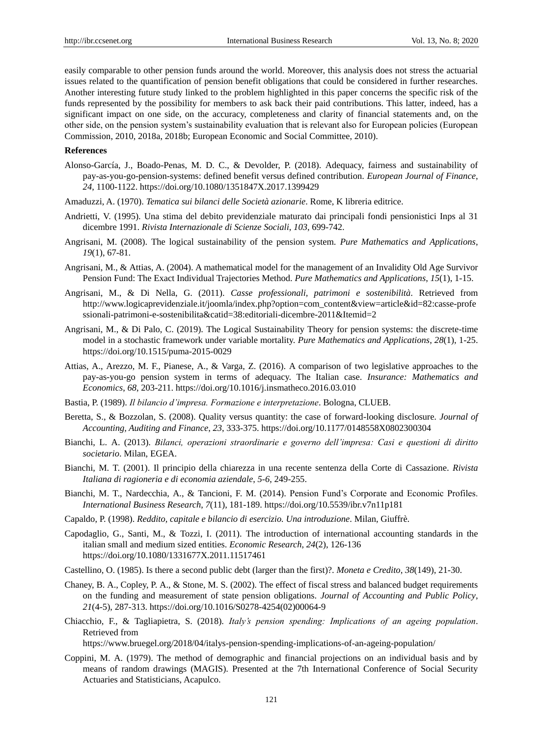easily comparable to other pension funds around the world. Moreover, this analysis does not stress the actuarial issues related to the quantification of pension benefit obligations that could be considered in further researches. Another interesting future study linked to the problem highlighted in this paper concerns the specific risk of the funds represented by the possibility for members to ask back their paid contributions. This latter, indeed, has a significant impact on one side, on the accuracy, completeness and clarity of financial statements and, on the other side, on the pension system"s sustainability evaluation that is relevant also for European policies (European Commission, 2010, 2018a, 2018b; European Economic and Social Committee, 2010).

## **References**

- Alonso-García, J., Boado-Penas, M. D. C., & Devolder, P. (2018). Adequacy, fairness and sustainability of pay-as-you-go-pension-systems: defined benefit versus defined contribution. *European Journal of Finance*, *24*, 1100-1122[. https://doi.org/10.1080/1351847X.2017.1399429](https://doi.org/10.1080/1351847X.2017.1399429)
- Amaduzzi, A. (1970). *Tematica sui bilanci delle Società azionarie*. Rome, K libreria editrice.
- Andrietti, V. (1995). Una stima del debito previdenziale maturato dai principali fondi pensionistici Inps al 31 dicembre 1991. *Rivista Internazionale di Scienze Sociali*, *103*, 699-742.
- Angrisani, M. (2008). The logical sustainability of the pension system. *Pure Mathematics and Applications*, *19*(1), 67-81.
- Angrisani, M., & Attias, A. (2004). A mathematical model for the management of an Invalidity Old Age Survivor Pension Fund: The Exact Individual Trajectories Method. *Pure Mathematics and Applications*, *15*(1), 1-15.
- Angrisani, M., & Di Nella, G. (2011). *Casse professionali, patrimoni e sostenibilità*. Retrieved from http://www.logicaprevidenziale.it/joomla/index.php?option=com\_content&view=article&id=82:casse-profe ssionali-patrimoni-e-sostenibilita&catid=38:editoriali-dicembre-2011&Itemid=2
- Angrisani, M., & Di Palo, C. (2019). The Logical Sustainability Theory for pension systems: the discrete-time model in a stochastic framework under variable mortality. *Pure Mathematics and Applications*, *28*(1), 1-25. <https://doi.org/10.1515/puma-2015-0029>
- Attias, A., Arezzo, M. F., Pianese, A., & Varga, Z. (2016). A comparison of two legislative approaches to the pay-as-you-go pension system in terms of adequacy. The Italian case. *Insurance: Mathematics and Economics*, *68*, 203-211[. https://doi.org/10.1016/j.insmatheco.2016.03.010](https://doi.org/10.1016/j.insmatheco.2016.03.010)
- Bastia, P. (1989). *Il bilancio d'impresa. Formazione e interpretazione*. Bologna, CLUEB.
- Beretta, S., & Bozzolan, S. (2008). Quality versus quantity: the case of forward-looking disclosure. *Journal of Accounting, Auditing and Finance*, *23*, 333-375. [https://doi.org/10.1177/0148558X0802300304](https://doi.org/10.1177%2F0148558X0802300304)
- Bianchi, L. A. (2013). *Bilanci, operazioni straordinarie e governo dell'impresa: Casi e questioni di diritto societario*. Milan, EGEA.
- Bianchi, M. T. (2001). Il principio della chiarezza in una recente sentenza della Corte di Cassazione. *Rivista Italiana di ragioneria e di economia aziendale*, *5-6*, 249-255.
- Bianchi, M. T., Nardecchia, A., & Tancioni, F. M. (2014). Pension Fund"s Corporate and Economic Profiles. *International Business Research*, *7*(11), 181-189.<https://doi.org/10.5539/ibr.v7n11p181>
- Capaldo, P. (1998). *Reddito, capitale e bilancio di esercizio. Una introduzione*. Milan, Giuffrè.
- Capodaglio, G., Santi, M., & Tozzi, I. (2011). The introduction of international accounting standards in the italian small and medium sized entities. *Economic Research*, *24*(2), 126-136 <https://doi.org/10.1080/1331677X.2011.11517461>
- Castellino, O. (1985). Is there a second public debt (larger than the first)?. *Moneta e Credito*, *38*(149), 21-30.
- Chaney, B. A., Copley, P. A., & Stone, M. S. (2002). The effect of fiscal stress and balanced budget requirements on the funding and measurement of state pension obligations. *Journal of Accounting and Public Policy*, *21*(4-5), 287-313. [https://doi.org/10.1016/S0278-4254\(02\)00064-9](https://doi.org/10.1016/S0278-4254(02)00064-9)
- Chiacchio, F., & Tagliapietra, S. (2018). *Italy's pension spending: Implications of an ageing population*. Retrieved from

https://www.bruegel.org/2018/04/italys-pension-spending-implications-of-an-ageing-population/

Coppini, M. A. (1979). The method of demographic and financial projections on an individual basis and by means of random drawings (MAGIS). Presented at the 7th International Conference of Social Security Actuaries and Statisticians, Acapulco.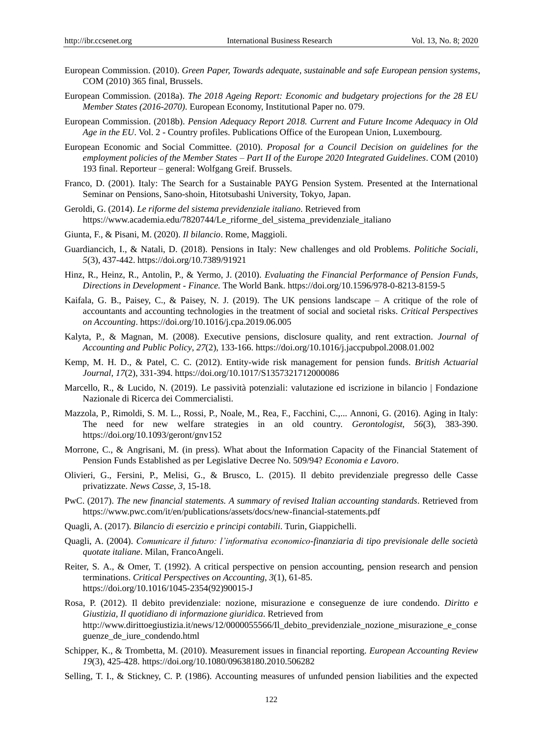- European Commission. (2010). *Green Paper, Towards adequate, sustainable and safe European pension systems*, COM (2010) 365 final, Brussels.
- European Commission. (2018a). *The 2018 Ageing Report: Economic and budgetary projections for the 28 EU Member States (2016-2070)*. European Economy, Institutional Paper no. 079.
- European Commission. (2018b). *Pension Adequacy Report 2018. Current and Future Income Adequacy in Old Age in the EU*. Vol. 2 - Country profiles. Publications Office of the European Union, Luxembourg.
- European Economic and Social Committee. (2010). *Proposal for a Council Decision on guidelines for the employment policies of the Member States – Part II of the Europe 2020 Integrated Guidelines*. COM (2010) 193 final. Reporteur – general: Wolfgang Greif. Brussels.
- Franco, D. (2001). Italy: The Search for a Sustainable PAYG Pension System. Presented at the International Seminar on Pensions, Sano-shoin, Hitotsubashi University, Tokyo, Japan.
- Geroldi, G. (2014). *Le riforme del sistema previdenziale italiano*. Retrieved from [https://www.academia.edu/7820744/Le\\_riforme\\_del\\_sistema\\_previdenziale\\_italiano](https://www.academia.edu/7820744/Le_riforme_del_sistema_previdenziale_italiano)
- Giunta, F., & Pisani, M. (2020). *Il bilancio*. Rome, Maggioli.
- Guardiancich, I., & Natali, D. (2018). Pensions in Italy: New challenges and old Problems. *Politiche Sociali*, *5*(3), 437-442.<https://doi.org/10.7389/91921>
- Hinz, R., Heinz, R., Antolin, P., & Yermo, J. (2010). *Evaluating the Financial Performance of Pension Funds, Directions in Development - Finance.* The World Bank[. https://doi.org/10.1596/978-0-8213-8159-5](https://doi.org/10.1596/978-0-8213-8159-5)
- Kaifala, G. B., Paisey, C., & Paisey, N. J. (2019). The UK pensions landscape A critique of the role of accountants and accounting technologies in the treatment of social and societal risks. *Critical Perspectives on Accounting*.<https://doi.org/10.1016/j.cpa.2019.06.005>
- Kalyta, P., & Magnan, M. (2008). Executive pensions, disclosure quality, and rent extraction. *Journal of Accounting and Public Policy*, *27*(2), 133-166[. https://doi.org/10.1016/j.jaccpubpol.2008.01.002](https://doi.org/10.1016/j.jaccpubpol.2008.01.002)
- Kemp, M. H. D., & Patel, C. C. (2012). Entity-wide risk management for pension funds. *British Actuarial Journal*, *17*(2), 331-394. <https://doi.org/10.1017/S1357321712000086>
- Marcello, R., & Lucido, N. (2019). Le passività potenziali: valutazione ed iscrizione in bilancio | Fondazione Nazionale di Ricerca dei Commercialisti.
- Mazzola, P., Rimoldi, S. M. L., Rossi, P., Noale, M., Rea, F., Facchini, C.,... Annoni, G. (2016). Aging in Italy: The need for new welfare strategies in an old country. *Gerontologist*, *56*(3), 383-390. <https://doi.org/10.1093/geront/gnv152>
- Morrone, C., & Angrisani, M. (in press). What about the Information Capacity of the Financial Statement of Pension Funds Established as per Legislative Decree No. 509/94? *Economia e Lavoro*.
- Olivieri, G., Fersini, P., Melisi, G., & Brusco, L. (2015). Il debito previdenziale pregresso delle Casse privatizzate. *News Casse*, *3*, 15-18.
- PwC. (2017). *The new financial statements. A summary of revised Italian accounting standards*. Retrieved from https://www.pwc.com/it/en/publications/assets/docs/new-financial-statements.pdf
- Quagli, A. (2017). *Bilancio di esercizio e principi contabili*. Turin, Giappichelli.
- Quagli, A. (2004). *Comunicare il futuro: l'informativa economico-finanziaria di tipo previsionale delle società quotate italiane*. Milan, FrancoAngeli.
- Reiter, S. A., & Omer, T. (1992). A critical perspective on pension accounting, pension research and pension terminations. *Critical Perspectives on Accounting*, *3*(1), 61-85. [https://doi.org/10.1016/1045-2354\(92\)90015-J](https://doi.org/10.1016/1045-2354(92)90015-J)
- Rosa, P. (2012). Il debito previdenziale: nozione, misurazione e conseguenze de iure condendo. *Diritto e Giustizia, Il quotidiano di informazione giuridica*. Retrieved from http://www.dirittoegiustizia.it/news/12/0000055566/Il\_debito\_previdenziale\_nozione\_misurazione\_e\_conse guenze\_de\_iure\_condendo.html
- Schipper, K., & Trombetta, M. (2010). Measurement issues in financial reporting. *European Accounting Review 19*(3), 425-428.<https://doi.org/10.1080/09638180.2010.506282>
- Selling, T. I., & Stickney, C. P. (1986). Accounting measures of unfunded pension liabilities and the expected